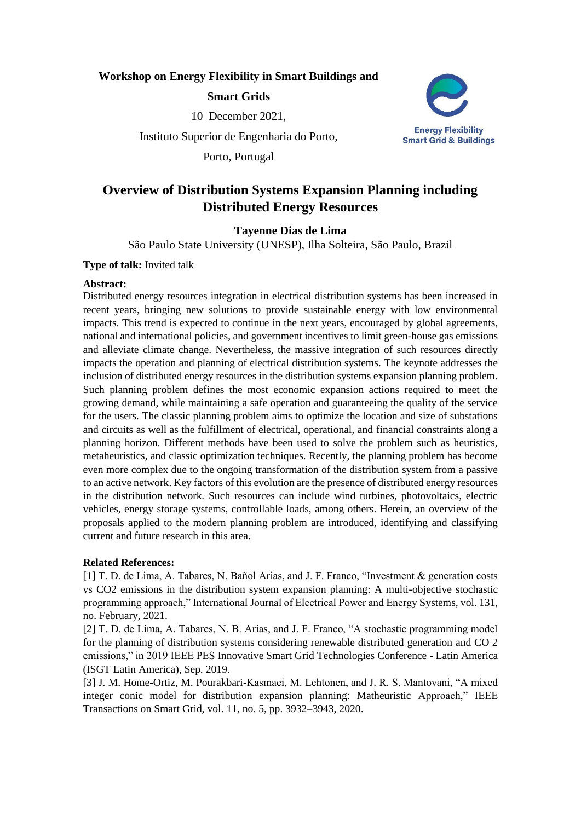# **Workshop on Energy Flexibility in Smart Buildings and**

# **Smart Grids**

10 December 2021,

Instituto Superior de Engenharia do Porto,

Porto, Portugal



# **Overview of Distribution Systems Expansion Planning including Distributed Energy Resources**

# **Tayenne Dias de Lima**

São Paulo State University (UNESP), Ilha Solteira, São Paulo, Brazil

**Type of talk:** Invited talk

#### **Abstract:**

Distributed energy resources integration in electrical distribution systems has been increased in recent years, bringing new solutions to provide sustainable energy with low environmental impacts. This trend is expected to continue in the next years, encouraged by global agreements, national and international policies, and government incentives to limit green-house gas emissions and alleviate climate change. Nevertheless, the massive integration of such resources directly impacts the operation and planning of electrical distribution systems. The keynote addresses the inclusion of distributed energy resources in the distribution systems expansion planning problem. Such planning problem defines the most economic expansion actions required to meet the growing demand, while maintaining a safe operation and guaranteeing the quality of the service for the users. The classic planning problem aims to optimize the location and size of substations and circuits as well as the fulfillment of electrical, operational, and financial constraints along a planning horizon. Different methods have been used to solve the problem such as heuristics, metaheuristics, and classic optimization techniques. Recently, the planning problem has become even more complex due to the ongoing transformation of the distribution system from a passive to an active network. Key factors of this evolution are the presence of distributed energy resources in the distribution network. Such resources can include wind turbines, photovoltaics, electric vehicles, energy storage systems, controllable loads, among others. Herein, an overview of the proposals applied to the modern planning problem are introduced, identifying and classifying current and future research in this area.

# **Related References:**

[1] T. D. de Lima, A. Tabares, N. Bañol Arias, and J. F. Franco, "Investment & generation costs vs CO2 emissions in the distribution system expansion planning: A multi-objective stochastic programming approach," International Journal of Electrical Power and Energy Systems, vol. 131, no. February, 2021.

[2] T. D. de Lima, A. Tabares, N. B. Arias, and J. F. Franco, "A stochastic programming model for the planning of distribution systems considering renewable distributed generation and CO 2 emissions," in 2019 IEEE PES Innovative Smart Grid Technologies Conference - Latin America (ISGT Latin America), Sep. 2019.

[3] J. M. Home-Ortiz, M. Pourakbari-Kasmaei, M. Lehtonen, and J. R. S. Mantovani, "A mixed integer conic model for distribution expansion planning: Matheuristic Approach," IEEE Transactions on Smart Grid, vol. 11, no. 5, pp. 3932–3943, 2020.